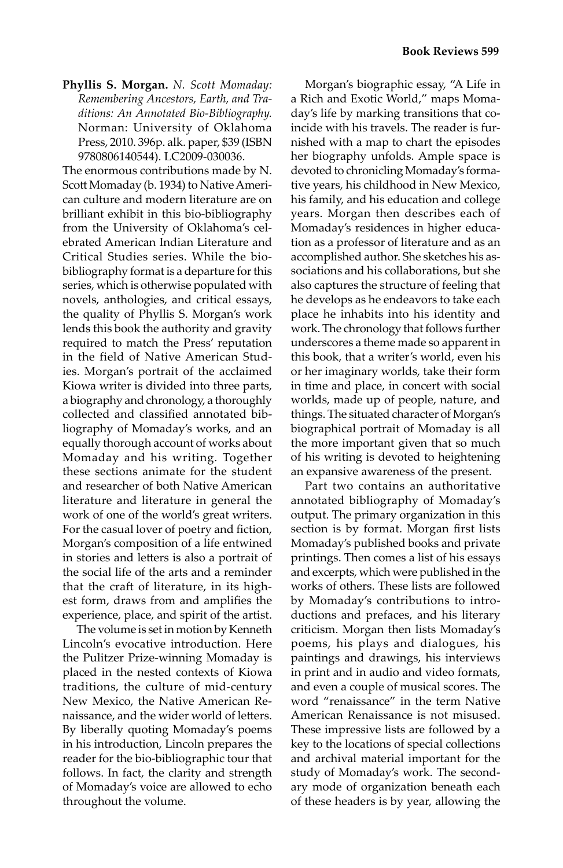**Phyllis S. Morgan.** *N. Scott Momaday: Remembering Ancestors, Earth, and Traditions: An Annotated Bio-Bibliography.*  Norman: University of Oklahoma Press, 2010. 396p. alk. paper, \$39 (ISBN 9780806140544). LC2009-030036.

The enormous contributions made by N. Scott Momaday (b. 1934) to Native American culture and modern literature are on brilliant exhibit in this bio-bibliography from the University of Oklahoma's celebrated American Indian Literature and Critical Studies series. While the biobibliography format is a departure for this series, which is otherwise populated with novels, anthologies, and critical essays, the quality of Phyllis S. Morgan's work lends this book the authority and gravity required to match the Press' reputation in the field of Native American Studies. Morgan's portrait of the acclaimed Kiowa writer is divided into three parts, a biography and chronology, a thoroughly collected and classified annotated bibliography of Momaday's works, and an equally thorough account of works about Momaday and his writing. Together these sections animate for the student and researcher of both Native American literature and literature in general the work of one of the world's great writers. For the casual lover of poetry and fiction, Morgan's composition of a life entwined in stories and letters is also a portrait of the social life of the arts and a reminder that the craft of literature, in its highest form, draws from and amplifies the experience, place, and spirit of the artist.

The volume is set in motion by Kenneth Lincoln's evocative introduction. Here the Pulitzer Prize-winning Momaday is placed in the nested contexts of Kiowa traditions, the culture of mid-century New Mexico, the Native American Renaissance, and the wider world of letters. By liberally quoting Momaday's poems in his introduction, Lincoln prepares the reader for the bio-bibliographic tour that follows. In fact, the clarity and strength of Momaday's voice are allowed to echo throughout the volume.

Morgan's biographic essay, "A Life in a Rich and Exotic World," maps Momaday's life by marking transitions that coincide with his travels. The reader is furnished with a map to chart the episodes her biography unfolds. Ample space is devoted to chronicling Momaday's formative years, his childhood in New Mexico, his family, and his education and college years. Morgan then describes each of Momaday's residences in higher education as a professor of literature and as an accomplished author. She sketches his associations and his collaborations, but she also captures the structure of feeling that he develops as he endeavors to take each place he inhabits into his identity and work. The chronology that follows further underscores a theme made so apparent in this book, that a writer's world, even his or her imaginary worlds, take their form in time and place, in concert with social worlds, made up of people, nature, and things. The situated character of Morgan's biographical portrait of Momaday is all the more important given that so much of his writing is devoted to heightening an expansive awareness of the present.

Part two contains an authoritative annotated bibliography of Momaday's output. The primary organization in this section is by format. Morgan first lists Momaday's published books and private printings. Then comes a list of his essays and excerpts, which were published in the works of others. These lists are followed by Momaday's contributions to introductions and prefaces, and his literary criticism. Morgan then lists Momaday's poems, his plays and dialogues, his paintings and drawings, his interviews in print and in audio and video formats, and even a couple of musical scores. The word "renaissance" in the term Native American Renaissance is not misused. These impressive lists are followed by a key to the locations of special collections and archival material important for the study of Momaday's work. The secondary mode of organization beneath each of these headers is by year, allowing the